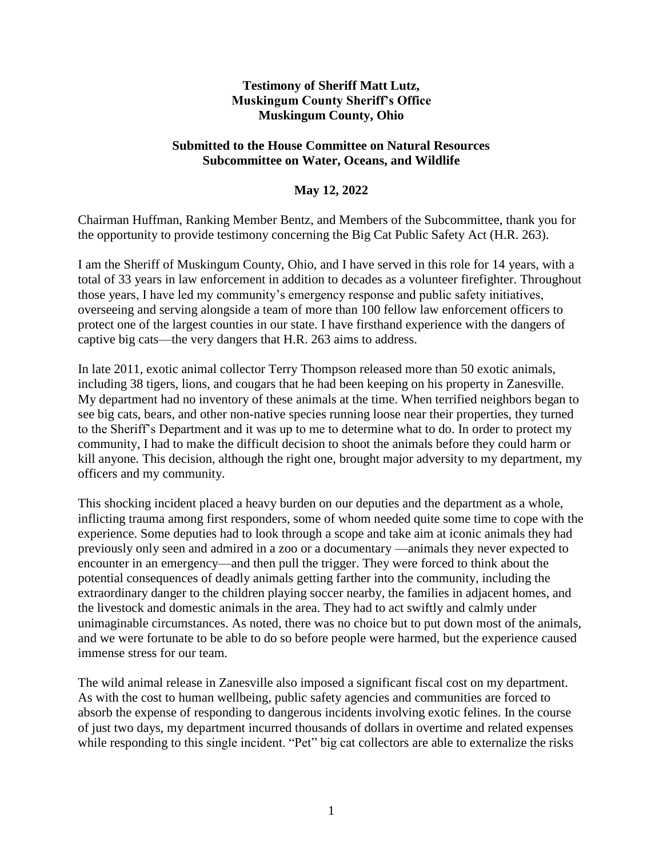## **Testimony of Sheriff Matt Lutz, Muskingum County Sheriff's Office Muskingum County, Ohio**

## **Submitted to the House Committee on Natural Resources Subcommittee on Water, Oceans, and Wildlife**

## **May 12, 2022**

Chairman Huffman, Ranking Member Bentz, and Members of the Subcommittee, thank you for the opportunity to provide testimony concerning the Big Cat Public Safety Act (H.R. 263).

I am the Sheriff of Muskingum County, Ohio, and I have served in this role for 14 years, with a total of 33 years in law enforcement in addition to decades as a volunteer firefighter. Throughout those years, I have led my community's emergency response and public safety initiatives, overseeing and serving alongside a team of more than 100 fellow law enforcement officers to protect one of the largest counties in our state. I have firsthand experience with the dangers of captive big cats—the very dangers that H.R. 263 aims to address.

In late 2011, exotic animal collector Terry Thompson released more than 50 exotic animals, including 38 tigers, lions, and cougars that he had been keeping on his property in Zanesville. My department had no inventory of these animals at the time. When terrified neighbors began to see big cats, bears, and other non-native species running loose near their properties, they turned to the Sheriff's Department and it was up to me to determine what to do. In order to protect my community, I had to make the difficult decision to shoot the animals before they could harm or kill anyone*.* This decision, although the right one, brought major adversity to my department, my officers and my community.

This shocking incident placed a heavy burden on our deputies and the department as a whole, inflicting trauma among first responders, some of whom needed quite some time to cope with the experience. Some deputies had to look through a scope and take aim at iconic animals they had previously only seen and admired in a zoo or a documentary —animals they never expected to encounter in an emergency—and then pull the trigger. They were forced to think about the potential consequences of deadly animals getting farther into the community, including the extraordinary danger to the children playing soccer nearby, the families in adjacent homes, and the livestock and domestic animals in the area. They had to act swiftly and calmly under unimaginable circumstances. As noted, there was no choice but to put down most of the animals, and we were fortunate to be able to do so before people were harmed, but the experience caused immense stress for our team.

The wild animal release in Zanesville also imposed a significant fiscal cost on my department. As with the cost to human wellbeing, public safety agencies and communities are forced to absorb the expense of responding to dangerous incidents involving exotic felines. In the course of just two days, my department incurred thousands of dollars in overtime and related expenses while responding to this single incident. "Pet" big cat collectors are able to externalize the risks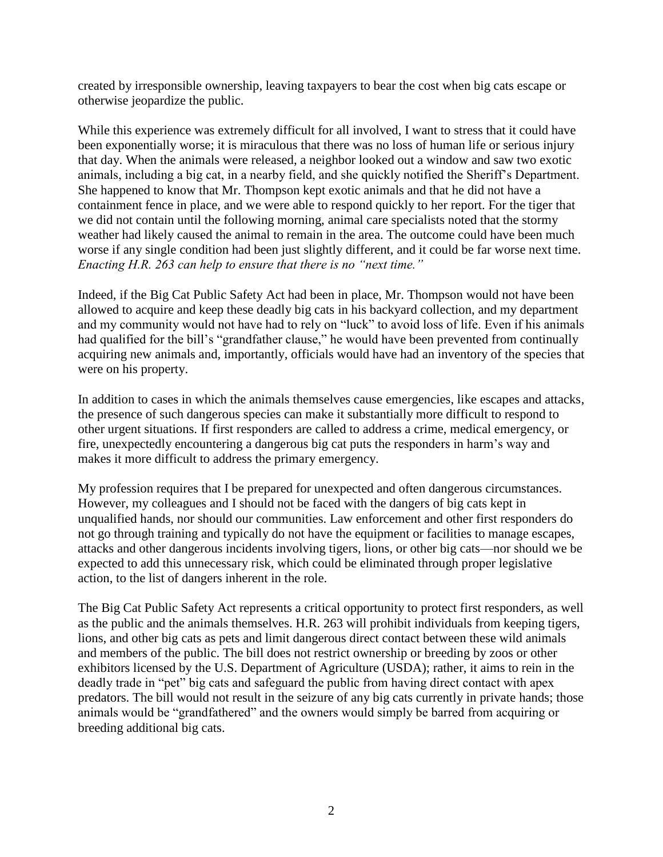created by irresponsible ownership, leaving taxpayers to bear the cost when big cats escape or otherwise jeopardize the public.

While this experience was extremely difficult for all involved, I want to stress that it could have been exponentially worse; it is miraculous that there was no loss of human life or serious injury that day. When the animals were released, a neighbor looked out a window and saw two exotic animals, including a big cat, in a nearby field, and she quickly notified the Sheriff's Department. She happened to know that Mr. Thompson kept exotic animals and that he did not have a containment fence in place, and we were able to respond quickly to her report. For the tiger that we did not contain until the following morning, animal care specialists noted that the stormy weather had likely caused the animal to remain in the area. The outcome could have been much worse if any single condition had been just slightly different, and it could be far worse next time. *Enacting H.R. 263 can help to ensure that there is no "next time."*

Indeed, if the Big Cat Public Safety Act had been in place, Mr. Thompson would not have been allowed to acquire and keep these deadly big cats in his backyard collection, and my department and my community would not have had to rely on "luck" to avoid loss of life. Even if his animals had qualified for the bill's "grandfather clause," he would have been prevented from continually acquiring new animals and, importantly, officials would have had an inventory of the species that were on his property.

In addition to cases in which the animals themselves cause emergencies, like escapes and attacks, the presence of such dangerous species can make it substantially more difficult to respond to other urgent situations. If first responders are called to address a crime, medical emergency, or fire, unexpectedly encountering a dangerous big cat puts the responders in harm's way and makes it more difficult to address the primary emergency.

My profession requires that I be prepared for unexpected and often dangerous circumstances. However, my colleagues and I should not be faced with the dangers of big cats kept in unqualified hands, nor should our communities. Law enforcement and other first responders do not go through training and typically do not have the equipment or facilities to manage escapes, attacks and other dangerous incidents involving tigers, lions, or other big cats—nor should we be expected to add this unnecessary risk, which could be eliminated through proper legislative action, to the list of dangers inherent in the role.

The Big Cat Public Safety Act represents a critical opportunity to protect first responders, as well as the public and the animals themselves. H.R. 263 will prohibit individuals from keeping tigers, lions, and other big cats as pets and limit dangerous direct contact between these wild animals and members of the public. The bill does not restrict ownership or breeding by zoos or other exhibitors licensed by the U.S. Department of Agriculture (USDA); rather, it aims to rein in the deadly trade in "pet" big cats and safeguard the public from having direct contact with apex predators. The bill would not result in the seizure of any big cats currently in private hands; those animals would be "grandfathered" and the owners would simply be barred from acquiring or breeding additional big cats.